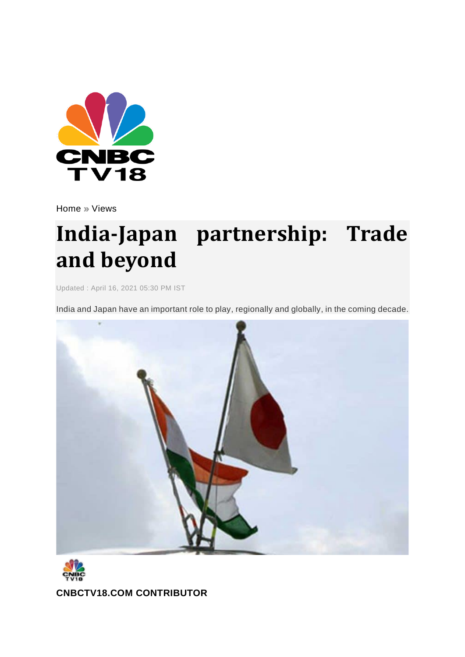

[Home](http://www.cnbctv18.com/) » [Views](http://www.cnbctv18.com/views)

# **India-Japan partnership: Trade and beyond**

Updated : April 16, 2021 05:30 PM IST

India and Japan have an important role to play, regionally and globally, in the coming decade.





**[CNBCTV18.COM](https://www.cnbctv18.com/author/cnbctv18.com-contributor-9591/) CONTRIBUTOR**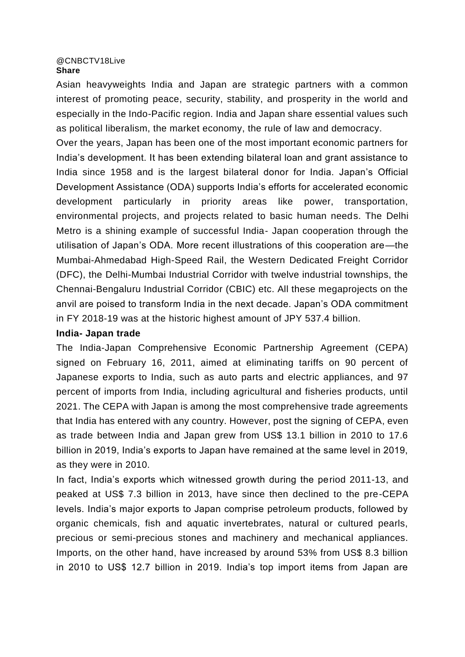#### [@CNBCTV18Live](https://twitter.com/CNBCTV18Live) **Share**

Asian heavyweights India and Japan are strategic partners with a common interest of promoting peace, security, stability, and prosperity in the world and especially in the Indo-Pacific region. India and Japan share essential values such as political liberalism, the market economy, the rule of law and democracy.

Over the years, Japan has been one of the most important economic partners for India's development. It has been extending bilateral loan and grant assistance to India since 1958 and is the largest bilateral donor for India. Japan's Official Development Assistance (ODA) supports India's efforts for accelerated economic development particularly in priority areas like power, transportation, environmental projects, and projects related to basic human needs. The Delhi Metro is a shining example of successful India- Japan cooperation through the utilisation of Japan's ODA. More recent illustrations of this cooperation are—the Mumbai-Ahmedabad High-Speed Rail, the Western Dedicated Freight Corridor (DFC), the Delhi-Mumbai Industrial Corridor with twelve industrial townships, the Chennai-Bengaluru Industrial Corridor (CBIC) etc. All these megaprojects on the anvil are poised to transform India in the next decade. Japan's ODA commitment in FY 2018-19 was at the historic highest amount of JPY 537.4 billion.

## **India- Japan trade**

The India-Japan Comprehensive Economic Partnership Agreement (CEPA) signed on February 16, 2011, aimed at eliminating tariffs on 90 percent of Japanese exports to India, such as auto parts and electric appliances, and 97 percent of imports from India, including agricultural and fisheries products, until 2021. The CEPA with Japan is among the most comprehensive trade agreements that India has entered with any country. However, post the signing of CEPA, even as trade between India and Japan grew from US\$ 13.1 billion in 2010 to 17.6 billion in 2019, India's exports to Japan have remained at the same level in 2019, as they were in 2010.

In fact, India's exports which witnessed growth during the period 2011-13, and peaked at US\$ 7.3 billion in 2013, have since then declined to the pre-CEPA levels. India's major exports to Japan comprise petroleum products, followed by organic chemicals, fish and aquatic invertebrates, natural or cultured pearls, precious or semi-precious stones and machinery and mechanical appliances. Imports, on the other hand, have increased by around 53% from US\$ 8.3 billion in 2010 to US\$ 12.7 billion in 2019. India's top import items from Japan are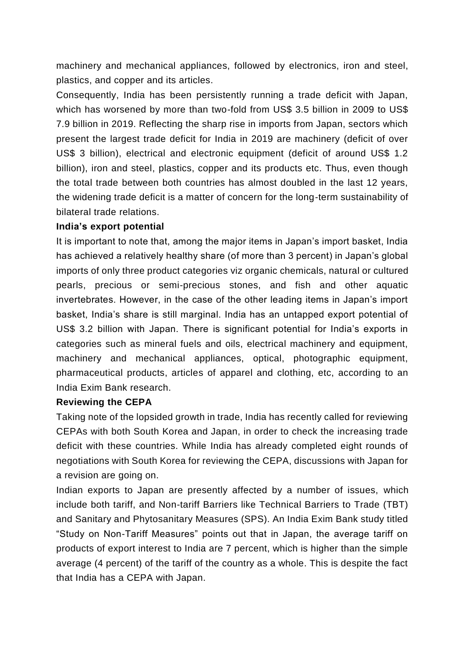machinery and mechanical appliances, followed by electronics, iron and steel, plastics, and copper and its articles.

Consequently, India has been persistently running a trade deficit with Japan, which has worsened by more than two-fold from US\$ 3.5 billion in 2009 to US\$ 7.9 billion in 2019. Reflecting the sharp rise in imports from Japan, sectors which present the largest trade deficit for India in 2019 are machinery (deficit of over US\$ 3 billion), electrical and electronic equipment (deficit of around US\$ 1.2 billion), iron and steel, plastics, copper and its products etc. Thus, even though the total trade between both countries has almost doubled in the last 12 years, the widening trade deficit is a matter of concern for the long-term sustainability of bilateral trade relations.

# **India's export potential**

It is important to note that, among the major items in Japan's import basket, India has achieved a relatively healthy share (of more than 3 percent) in Japan's global imports of only three product categories viz organic chemicals, natural or cultured pearls, precious or semi-precious stones, and fish and other aquatic invertebrates. However, in the case of the other leading items in Japan's import basket, India's share is still marginal. India has an untapped export potential of US\$ 3.2 billion with Japan. There is significant potential for India's exports in categories such as mineral fuels and oils, electrical machinery and equipment, machinery and mechanical appliances, optical, photographic equipment, pharmaceutical products, articles of apparel and clothing, etc, according to an India Exim Bank research.

### **Reviewing the CEPA**

Taking note of the lopsided growth in trade, India has recently called for reviewing CEPAs with both South Korea and Japan, in order to check the increasing trade deficit with these countries. While India has already completed eight rounds of negotiations with South Korea for reviewing the CEPA, discussions with Japan for a revision are going on.

Indian exports to Japan are presently affected by a number of issues, which include both tariff, and Non-tariff Barriers like Technical Barriers to Trade (TBT) and Sanitary and Phytosanitary Measures (SPS). An India Exim Bank study titled "Study on Non-Tariff Measures" points out that in Japan, the average tariff on products of export interest to India are 7 percent, which is higher than the simple average (4 percent) of the tariff of the country as a whole. This is despite the fact that India has a CEPA with Japan.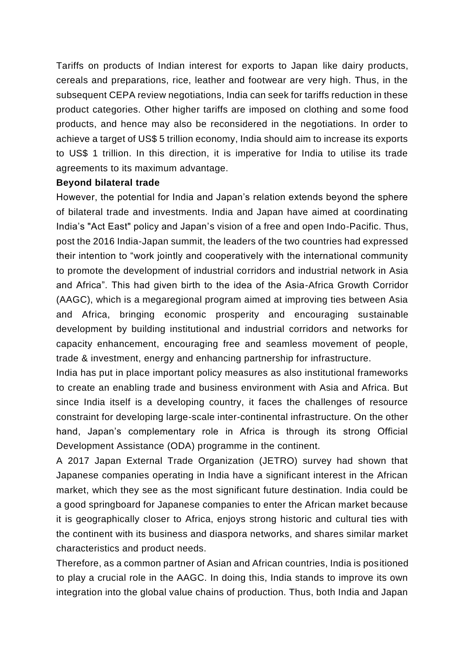Tariffs on products of Indian interest for exports to Japan like dairy products, cereals and preparations, rice, leather and footwear are very high. Thus, in the subsequent CEPA review negotiations, India can seek for tariffs reduction in these product categories. Other higher tariffs are imposed on clothing and some food products, and hence may also be reconsidered in the negotiations. In order to achieve a target of US\$ 5 trillion economy, India should aim to increase its exports to US\$ 1 trillion. In this direction, it is imperative for India to utilise its trade agreements to its maximum advantage.

### **Beyond bilateral trade**

However, the potential for India and Japan's relation extends beyond the sphere of bilateral trade and investments. India and Japan have aimed at coordinating India's "Act East" policy and Japan's vision of a free and open Indo-Pacific. Thus, post the 2016 India-Japan summit, the leaders of the two countries had expressed their intention to "work jointly and cooperatively with the international community to promote the development of industrial corridors and industrial network in Asia and Africa". This had given birth to the idea of the Asia-Africa Growth Corridor (AAGC), which is a megaregional program aimed at improving ties between Asia and Africa, bringing economic prosperity and encouraging sustainable development by building institutional and industrial corridors and networks for capacity enhancement, encouraging free and seamless movement of people, trade & investment, energy and enhancing partnership for infrastructure.

India has put in place important policy measures as also institutional frameworks to create an enabling trade and business environment with Asia and Africa. But since India itself is a developing country, it faces the challenges of resource constraint for developing large-scale inter-continental infrastructure. On the other hand, Japan's complementary role in Africa is through its strong Official Development Assistance (ODA) programme in the continent.

A 2017 Japan External Trade Organization (JETRO) survey had shown that Japanese companies operating in India have a significant interest in the African market, which they see as the most significant future destination. India could be a good springboard for Japanese companies to enter the African market because it is geographically closer to Africa, enjoys strong historic and cultural ties with the continent with its business and diaspora networks, and shares similar market characteristics and product needs.

Therefore, as a common partner of Asian and African countries, India is positioned to play a crucial role in the AAGC. In doing this, India stands to improve its own integration into the global value chains of production. Thus, both India and Japan